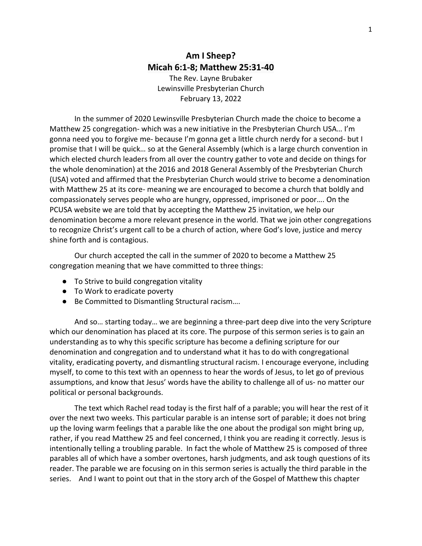## **Am I Sheep? Micah 6:1-8; Matthew 25:31-40**

The Rev. Layne Brubaker Lewinsville Presbyterian Church February 13, 2022

In the summer of 2020 Lewinsville Presbyterian Church made the choice to become a Matthew 25 congregation- which was a new initiative in the Presbyterian Church USA… I'm gonna need you to forgive me- because I'm gonna get a little church nerdy for a second- but I promise that I will be quick… so at the General Assembly (which is a large church convention in which elected church leaders from all over the country gather to vote and decide on things for the whole denomination) at the 2016 and 2018 General Assembly of the Presbyterian Church (USA) voted and affirmed that the Presbyterian Church would strive to become a denomination with Matthew 25 at its core- meaning we are encouraged to become a church that boldly and compassionately serves people who are hungry, oppressed, imprisoned or poor…. On the PCUSA website we are told that by accepting the Matthew 25 invitation, we help our denomination become a more relevant presence in the world. That we join other congregations to recognize Christ's urgent call to be a church of action, where God's love, justice and mercy shine forth and is contagious.

Our church accepted the call in the summer of 2020 to become a Matthew 25 congregation meaning that we have committed to three things:

- To Strive to build congregation vitality
- To Work to eradicate poverty
- Be Committed to Dismantling Structural racism....

And so… starting today… we are beginning a three-part deep dive into the very Scripture which our denomination has placed at its core. The purpose of this sermon series is to gain an understanding as to why this specific scripture has become a defining scripture for our denomination and congregation and to understand what it has to do with congregational vitality, eradicating poverty, and dismantling structural racism. I encourage everyone, including myself, to come to this text with an openness to hear the words of Jesus, to let go of previous assumptions, and know that Jesus' words have the ability to challenge all of us- no matter our political or personal backgrounds.

The text which Rachel read today is the first half of a parable; you will hear the rest of it over the next two weeks. This particular parable is an intense sort of parable; it does not bring up the loving warm feelings that a parable like the one about the prodigal son might bring up, rather, if you read Matthew 25 and feel concerned, I think you are reading it correctly. Jesus is intentionally telling a troubling parable. In fact the whole of Matthew 25 is composed of three parables all of which have a somber overtones, harsh judgments, and ask tough questions of its reader. The parable we are focusing on in this sermon series is actually the third parable in the series. And I want to point out that in the story arch of the Gospel of Matthew this chapter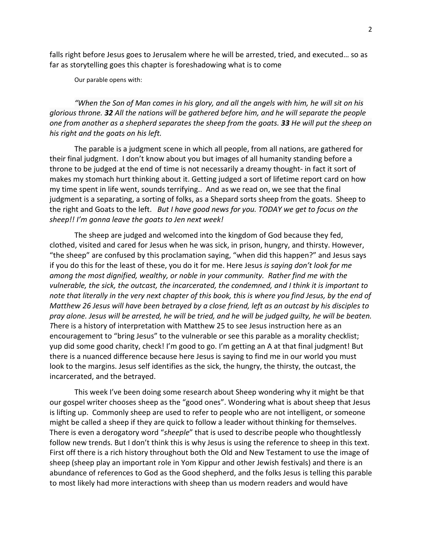falls right before Jesus goes to Jerusalem where he will be arrested, tried, and executed… so as far as storytelling goes this chapter is foreshadowing what is to come

Our parable opens with:

*"When the Son of Man comes in his glory, and all the angels with him, he will sit on his glorious throne. 32 All the nations will be gathered before him, and he will separate the people one from another as a shepherd separates the sheep from the goats. 33 He will put the sheep on his right and the goats on his left.*

The parable is a judgment scene in which all people, from all nations, are gathered for their final judgment. I don't know about you but images of all humanity standing before a throne to be judged at the end of time is not necessarily a dreamy thought- in fact it sort of makes my stomach hurt thinking about it. Getting judged a sort of lifetime report card on how my time spent in life went, sounds terrifying.. And as we read on, we see that the final judgment is a separating, a sorting of folks, as a Shepard sorts sheep from the goats. Sheep to the right and Goats to the left. *But I have good news for you. TODAY we get to focus on the sheep!! I'm gonna leave the goats to Jen next week!* 

The sheep are judged and welcomed into the kingdom of God because they fed, clothed, visited and cared for Jesus when he was sick, in prison, hungry, and thirsty. However, "the sheep" are confused by this proclamation saying, "when did this happen?" and Jesus says if you do this for the least of these, you do it for me. Here Jesus *is saying don't look for me among the most dignified, wealthy, or noble in your community. Rather find me with the vulnerable, the sick, the outcast, the incarcerated, the condemned, and I think it is important to note that literally in the very next chapter of this book, this is where you find Jesus, by the end of Matthew 26 Jesus will have been betrayed by a close friend, left as an outcast by his disciples to pray alone. Jesus will be arrested, he will be tried, and he will be judged guilty, he will be beaten. T*here is a history of interpretation with Matthew 25 to see Jesus instruction here as an encouragement to "bring Jesus" to the vulnerable or see this parable as a morality checklist; yup did some good charity, check! I'm good to go. I'm getting an A at that final judgment! But there is a nuanced difference because here Jesus is saying to find me in our world you must look to the margins. Jesus self identifies as the sick, the hungry, the thirsty, the outcast, the incarcerated, and the betrayed.

This week I've been doing some research about Sheep wondering why it might be that our gospel writer chooses sheep as the "good ones". Wondering what is about sheep that Jesus is lifting up. Commonly sheep are used to refer to people who are not intelligent, or someone might be called a sheep if they are quick to follow a leader without thinking for themselves. There is even a derogatory word "*sheeple*" that is used to describe people who thoughtlessly follow new trends. But I don't think this is why Jesus is using the reference to sheep in this text. First off there is a rich history throughout both the Old and New Testament to use the image of sheep (sheep play an important role in Yom Kippur and other Jewish festivals) and there is an abundance of references to God as the Good shepherd, and the folks Jesus is telling this parable to most likely had more interactions with sheep than us modern readers and would have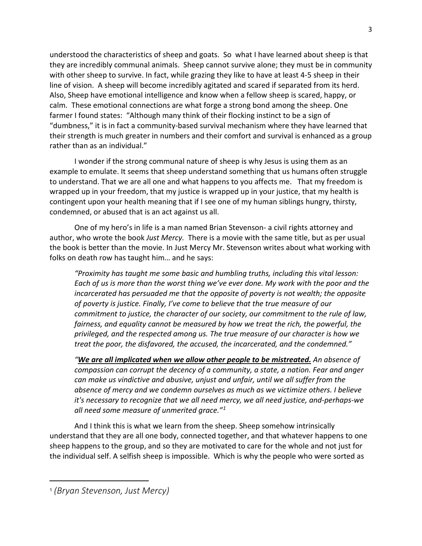understood the characteristics of sheep and goats. So what I have learned about sheep is that they are incredibly communal animals. Sheep cannot survive alone; they must be in community with other sheep to survive. In fact, while grazing they like to have at least 4-5 sheep in their line of vision. A sheep will become incredibly agitated and scared if separated from its herd. Also, Sheep have emotional intelligence and know when a fellow sheep is scared, happy, or calm. These emotional connections are what forge a strong bond among the sheep. One farmer I found states: "Although many think of their flocking instinct to be a sign of "dumbness," it is in fact a community-based survival mechanism where they have learned that their strength is much greater in numbers and their comfort and survival is enhanced as a group rather than as an individual."

I wonder if the strong communal nature of sheep is why Jesus is using them as an example to emulate. It seems that sheep understand something that us humans often struggle to understand. That we are all one and what happens to you affects me. That my freedom is wrapped up in your freedom, that my justice is wrapped up in your justice, that my health is contingent upon your health meaning that if I see one of my human siblings hungry, thirsty, condemned, or abused that is an act against us all.

One of my hero's in life is a man named Brian Stevenson- a civil rights attorney and author, who wrote the book *Just Mercy.* There is a movie with the same title, but as per usual the book is better than the movie. In Just Mercy Mr. Stevenson writes about what working with folks on death row has taught him… and he says:

*"Proximity has taught me some basic and humbling truths, including this vital lesson: Each of us is more than the worst thing we've ever done. My work with the poor and the incarcerated has persuaded me that the opposite of poverty is not wealth; the opposite of poverty is justice. Finally, I've come to believe that the true measure of our commitment to justice, the character of our society, our commitment to the rule of law, fairness, and equality cannot be measured by how we treat the rich, the powerful, the privileged, and the respected among us. The true measure of our character is how we treat the poor, the disfavored, the accused, the incarcerated, and the condemned."*

*"We are all implicated when we allow other people to be mistreated. An absence of compassion can corrupt the decency of a community, a state, a nation. Fear and anger can make us vindictive and abusive, unjust and unfair, until we all suffer from the absence of mercy and we condemn ourselves as much as we victimize others. I believe it's necessary to recognize that we all need mercy, we all need justice, and-perhaps-we all need some measure of unmerited grace."[1](#page-2-0)*

And I think this is what we learn from the sheep. Sheep somehow intrinsically understand that they are all one body, connected together, and that whatever happens to one sheep happens to the group, and so they are motivated to care for the whole and not just for the individual self. A selfish sheep is impossible. Which is why the people who were sorted as

<span id="page-2-0"></span><sup>1</sup> *(Bryan Stevenson, Just Mercy)*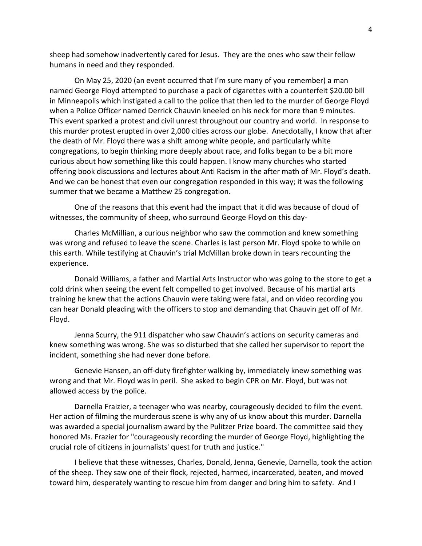sheep had somehow inadvertently cared for Jesus. They are the ones who saw their fellow humans in need and they responded.

On May 25, 2020 (an event occurred that I'm sure many of you remember) a man named George Floyd attempted to purchase a pack of cigarettes with a counterfeit \$20.00 bill in Minneapolis which instigated a call to the police that then led to the murder of George Floyd when a Police Officer named Derrick Chauvin kneeled on his neck for more than 9 minutes. This event sparked a protest and civil unrest throughout our country and world. In response to this murder protest erupted in over 2,000 cities across our globe. Anecdotally, I know that after the death of Mr. Floyd there was a shift among white people, and particularly white congregations, to begin thinking more deeply about race, and folks began to be a bit more curious about how something like this could happen. I know many churches who started offering book discussions and lectures about Anti Racism in the after math of Mr. Floyd's death. And we can be honest that even our congregation responded in this way; it was the following summer that we became a Matthew 25 congregation.

One of the reasons that this event had the impact that it did was because of cloud of witnesses, the community of sheep, who surround George Floyd on this day-

Charles McMillian, a curious neighbor who saw the commotion and knew something was wrong and refused to leave the scene. Charles is last person Mr. Floyd spoke to while on this earth. While testifying at Chauvin's trial McMillan broke down in tears recounting the experience.

Donald Williams, a father and Martial Arts Instructor who was going to the store to get a cold drink when seeing the event felt compelled to get involved. Because of his martial arts training he knew that the actions Chauvin were taking were fatal, and on video recording you can hear Donald pleading with the officers to stop and demanding that Chauvin get off of Mr. Floyd.

Jenna Scurry, the 911 dispatcher who saw Chauvin's actions on security cameras and knew something was wrong. She was so disturbed that she called her supervisor to report the incident, something she had never done before.

Genevie Hansen, an off-duty firefighter walking by, immediately knew something was wrong and that Mr. Floyd was in peril. She asked to begin CPR on Mr. Floyd, but was not allowed access by the police.

Darnella Fraizier, a teenager who was nearby, courageously decided to film the event. Her action of filming the murderous scene is why any of us know about this murder. Darnella was awarded a special journalism award by the Pulitzer Prize board. The committee said they honored Ms. Frazier for "courageously recording the murder of George Floyd, highlighting the crucial role of citizens in journalists' quest for truth and justice."

I believe that these witnesses, Charles, Donald, Jenna, Genevie, Darnella, took the action of the sheep. They saw one of their flock, rejected, harmed, incarcerated, beaten, and moved toward him, desperately wanting to rescue him from danger and bring him to safety. And I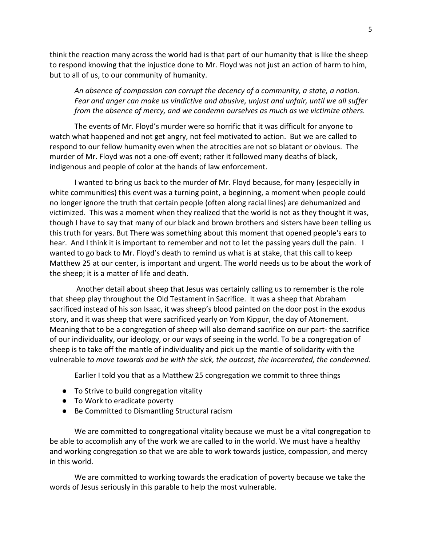think the reaction many across the world had is that part of our humanity that is like the sheep to respond knowing that the injustice done to Mr. Floyd was not just an action of harm to him, but to all of us, to our community of humanity.

*An absence of compassion can corrupt the decency of a community, a state, a nation. Fear and anger can make us vindictive and abusive, unjust and unfair, until we all suffer from the absence of mercy, and we condemn ourselves as much as we victimize others.* 

The events of Mr. Floyd's murder were so horrific that it was difficult for anyone to watch what happened and not get angry, not feel motivated to action. But we are called to respond to our fellow humanity even when the atrocities are not so blatant or obvious. The murder of Mr. Floyd was not a one-off event; rather it followed many deaths of black, indigenous and people of color at the hands of law enforcement.

I wanted to bring us back to the murder of Mr. Floyd because, for many (especially in white communities) this event was a turning point, a beginning, a moment when people could no longer ignore the truth that certain people (often along racial lines) are dehumanized and victimized. This was a moment when they realized that the world is not as they thought it was, though I have to say that many of our black and brown brothers and sisters have been telling us this truth for years. But There was something about this moment that opened people's ears to hear. And I think it is important to remember and not to let the passing years dull the pain. I wanted to go back to Mr. Floyd's death to remind us what is at stake, that this call to keep Matthew 25 at our center, is important and urgent. The world needs us to be about the work of the sheep; it is a matter of life and death.

Another detail about sheep that Jesus was certainly calling us to remember is the role that sheep play throughout the Old Testament in Sacrifice. It was a sheep that Abraham sacrificed instead of his son Isaac, it was sheep's blood painted on the door post in the exodus story, and it was sheep that were sacrificed yearly on Yom Kippur, the day of Atonement. Meaning that to be a congregation of sheep will also demand sacrifice on our part- the sacrifice of our individuality, our ideology, or our ways of seeing in the world. To be a congregation of sheep is to take off the mantle of individuality and pick up the mantle of solidarity with the vulnerable *to move towards and be with the sick, the outcast, the incarcerated, the condemned.*

Earlier I told you that as a Matthew 25 congregation we commit to three things

- To Strive to build congregation vitality
- To Work to eradicate poverty
- Be Committed to Dismantling Structural racism

We are committed to congregational vitality because we must be a vital congregation to be able to accomplish any of the work we are called to in the world. We must have a healthy and working congregation so that we are able to work towards justice, compassion, and mercy in this world.

We are committed to working towards the eradication of poverty because we take the words of Jesus seriously in this parable to help the most vulnerable.